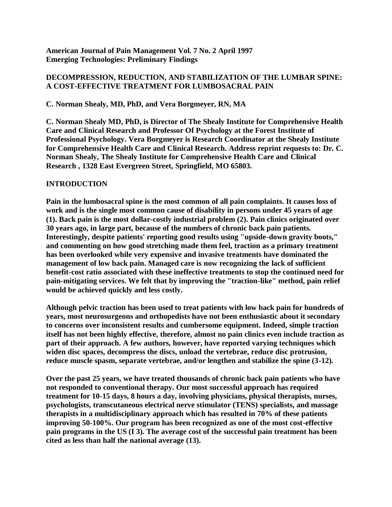**American Journal of Pain Management Vol. 7 No. 2 April 1997 Emerging Technologies: Preliminary Findings**

# **DECOMPRESSION, REDUCTION, AND STABILIZATION OF THE LUMBAR SPINE: A COST-EFFECTIVE TREATMENT FOR LUMBOSACRAL PAIN**

**C. Norman Shealy, MD, PhD, and Vera Borgmeyer, RN, MA**

**C. Norman Shealy MD, PhD, is Director of The Shealy Institute for Comprehensive Health Care and Clinical Research and Professor Of Psychology at the Forest Institute of Professional Psychology. Vera Borgmeyer is Research Coordinator at the Shealy Institute for Comprehensive Health Care and Clinical Research. Address reprint requests to: Dr. C. Norman Shealy, The Shealy Institute for Comprehensive Health Care and Clinical Research , 1328 East Evergreen Street, Springfield, MO 65803.**

## **INTRODUCTION**

**Pain in the lumbosacral spine is the most common of all pain complaints. It causes loss of work and is the single most common cause of disability in persons under 45 years of age (1). Back pain is the most dollar-costly industrial problem (2). Pain clinics originated over 30 years ago, in large part, because of the numbers of chronic back pain patients. Interestingly, despite patients' reporting good results using "upside-down gravity boots," and commenting on how good stretching made them feel, traction as a primary treatment has been overlooked while very expensive and invasive treatments have dominated the management of low back pain. Managed care is now recognizing the lack of sufficient benefit-cost ratio associated with these ineffective treatments to stop the continued need for pain-mitigating services. We felt that by improving the "traction-like" method, pain relief would be achieved quickly and less costly.**

**Although pelvic traction has been used to treat patients with low back pain for hundreds of years, most neurosurgeons and orthopedists have not been enthusiastic about it secondary to concerns over inconsistent results and cumbersome equipment. Indeed, simple traction itself has not been highly effective, therefore, almost no pain clinics even include traction as part of their approach. A few authors, however, have reported varying techniques which widen disc spaces, decompress the discs, unload the vertebrae, reduce disc protrusion, reduce muscle spasm, separate vertebrae, and/or lengthen and stabilize the spine (3-12).**

**Over the past 25 years, we have treated thousands of chronic back pain patients who have not responded to conventional therapy. Our most successful approach has required treatment for 10-15 days, 8 hours a day, involving physicians, physical therapists, nurses, psychologists, transcutaneous electrical nerve stimulator (TENS) specialists, and massage therapists in a multidisciplinary approach which has resulted in 70% of these patients improving 50-100%. Our program has been recognized as one of the most cost-effective pain programs in the US (I 3). The average cost of the successful pain treatment has been cited as less than half the national average (13).**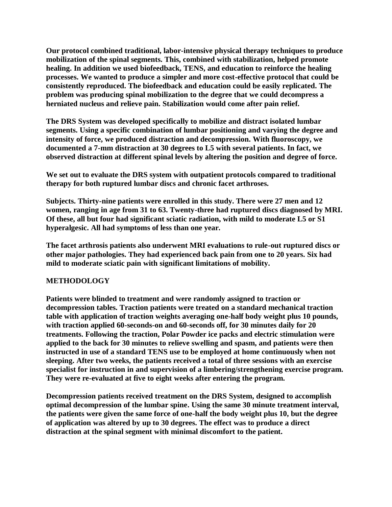**Our protocol combined traditional, labor-intensive physical therapy techniques to produce mobilization of the spinal segments. This, combined with stabilization, helped promote healing. In addition we used biofeedback, TENS, and education to reinforce the healing processes. We wanted to produce a simpler and more cost-effective protocol that could be consistently reproduced. The biofeedback and education could be easily replicated. The problem was producing spinal mobilization to the degree that we could decompress a herniated nucleus and relieve pain. Stabilization would come after pain relief.**

**The DRS System was developed specifically to mobilize and distract isolated lumbar segments. Using a specific combination of lumbar positioning and varying the degree and intensity of force, we produced distraction and decompression. With fluoroscopy, we documented a 7-mm distraction at 30 degrees to L5 with several patients. In fact, we observed distraction at different spinal levels by altering the position and degree of force.**

**We set out to evaluate the DRS system with outpatient protocols compared to traditional therapy for both ruptured lumbar discs and chronic facet arthroses.**

**Subjects. Thirty-nine patients were enrolled in this study. There were 27 men and 12 women, ranging in age from 31 to 63. Twenty-three had ruptured discs diagnosed by MRI. Of these, all but four had significant sciatic radiation, with mild to moderate L5 or S1 hyperalgesic. All had symptoms of less than one year.**

**The facet arthrosis patients also underwent MRI evaluations to rule-out ruptured discs or other major pathologies. They had experienced back pain from one to 20 years. Six had mild to moderate sciatic pain with significant limitations of mobility.**

### **METHODOLOGY**

**Patients were blinded to treatment and were randomly assigned to traction or decompression tables. Traction patients were treated on a standard mechanical traction table with application of traction weights averaging one-half body weight plus 10 pounds, with traction applied 60-seconds-on and 60-seconds off, for 30 minutes daily for 20 treatments. Following the traction, Polar Powder ice packs and electric stimulation were applied to the back for 30 minutes to relieve swelling and spasm, and patients were then instructed in use of a standard TENS use to be employed at home continuously when not sleeping. After two weeks, the patients received a total of three sessions with an exercise specialist for instruction in and supervision of a limbering/strengthening exercise program. They were re-evaluated at five to eight weeks after entering the program.**

**Decompression patients received treatment on the DRS System, designed to accomplish optimal decompression of the lumbar spine. Using the same 30 minute treatment interval, the patients were given the same force of one-half the body weight plus 10, but the degree of application was altered by up to 30 degrees. The effect was to produce a direct distraction at the spinal segment with minimal discomfort to the patient.**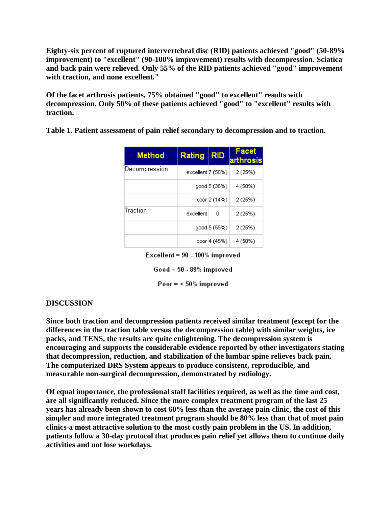**Eighty-six percent of ruptured intervertebral disc (RID) patients achieved "good" (50-89% improvement) to "excellent" (90-100% improvement) results with decompression. Sciatica and back pain were relieved. Only 55% of the RID patients achieved "good" improvement with traction, and none excellent."**

**Of the facet arthrosis patients, 75% obtained "good" to excellent" results with decompression. Only 50% of these patients achieved "good" to "excellent" results with traction.**

**Table 1. Patient assessment of pain relief secondary to decompression and to traction.**

| <b>Method</b> | <b>Rating</b>     | <b>RID</b>   | Facet<br>arthrosis |
|---------------|-------------------|--------------|--------------------|
| Decompression | excellent 7 (50%) |              | 2(25%)             |
|               |                   | good 5 (36%) | 4 (50%)            |
|               |                   | poor 2 (14%) | 2 (25%)            |
| Traction      | excellent         | n            | 2(25%)             |
|               |                   | qood 5 (55%) | 2(25%)             |
|               |                   | poor 4 (45%) | 4 (50%)            |

Excellent = 90 - 100% improved

Good = 50 - 89% improved

Poor  $=$  < 50% improved

## **DISCUSSION**

**Since both traction and decompression patients received similar treatment (except for the differences in the traction table versus the decompression table) with similar weights, ice packs, and TENS, the results are quite enlightening. The decompression system is encouraging and supports the considerable evidence reported by other investigators stating that decompression, reduction, and stabilization of the lumbar spine relieves back pain. The computerized DRS System appears to produce consistent, reproducible, and measurable non-surgical decompression, demonstrated by radiology.**

**Of equal importance, the professional staff facilities required, as well as the time and cost, are all significantly reduced. Since the more complex treatment program of the last 25 years has already been shown to cost 60% less than the average pain clinic, the cost of this simpler and more integrated treatment program should be 80% less than that of most pain clinics-a most attractive solution to the most costly pain problem in the US. In addition, patients follow a 30-day protocol that produces pain relief yet allows them to continue daily activities and not lose workdays.**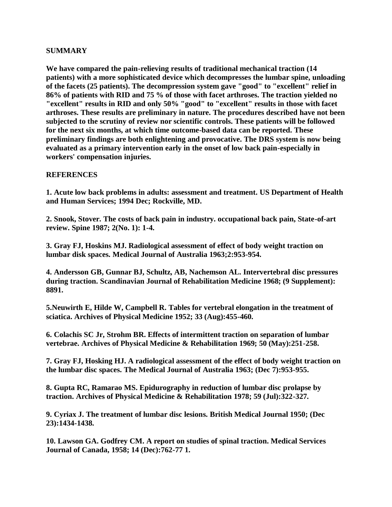### **SUMMARY**

**We have compared the pain-relieving results of traditional mechanical traction (14 patients) with a more sophisticated device which decompresses the lumbar spine, unloading of the facets (25 patients). The decompression system gave "good" to "excellent" relief in 86% of patients with RID and 75 % of those with facet arthroses. The traction yielded no "excellent" results in RID and only 50% "good" to "excellent" results in those with facet arthroses. These results are preliminary in nature. The procedures described have not been subjected to the scrutiny of review nor scientific controls. These patients will be followed for the next six months, at which time outcome-based data can be reported. These preliminary findings are both enlightening and provocative. The DRS system is now being evaluated as a primary intervention early in the onset of low back pain-especially in workers' compensation injuries.**

## **REFERENCES**

**1. Acute low back problems in adults: assessment and treatment. US Department of Health and Human Services; 1994 Dec; Rockville, MD.**

**2. Snook, Stover. The costs of back pain in industry. occupational back pain, State-of-art review. Spine 1987; 2(No. 1): 1-4.**

**3. Gray FJ, Hoskins MJ. Radiological assessment of effect of body weight traction on lumbar disk spaces. Medical Journal of Australia 1963;2:953-954.**

**4. Andersson GB, Gunnar BJ, Schultz, AB, Nachemson AL. Intervertebral disc pressures during traction. Scandinavian Journal of Rehabilitation Medicine 1968; (9 Supplement): 8891.**

**5.Neuwirth E, Hilde W, Campbell R. Tables for vertebral elongation in the treatment of sciatica. Archives of Physical Medicine 1952; 33 (Aug):455-460.**

**6. Colachis SC Jr, Strohm BR. Effects of intermittent traction on separation of lumbar vertebrae. Archives of Physical Medicine & Rehabilitation 1969; 50 (May):251-258.**

**7. Gray FJ, Hosking HJ. A radiological assessment of the effect of body weight traction on the lumbar disc spaces. The Medical Journal of Australia 1963; (Dec 7):953-955.** 

**8. Gupta RC, Ramarao MS. Epidurography in reduction of lumbar disc prolapse by traction. Archives of Physical Medicine & Rehabilitation 1978; 59 (Jul):322-327.**

**9. Cyriax J. The treatment of lumbar disc lesions. British Medical Journal 1950; (Dec 23):1434-1438.** 

**10. Lawson GA. Godfrey CM. A report on studies of spinal traction. Medical Services Journal of Canada, 1958; 14 (Dec):762-77 1.**